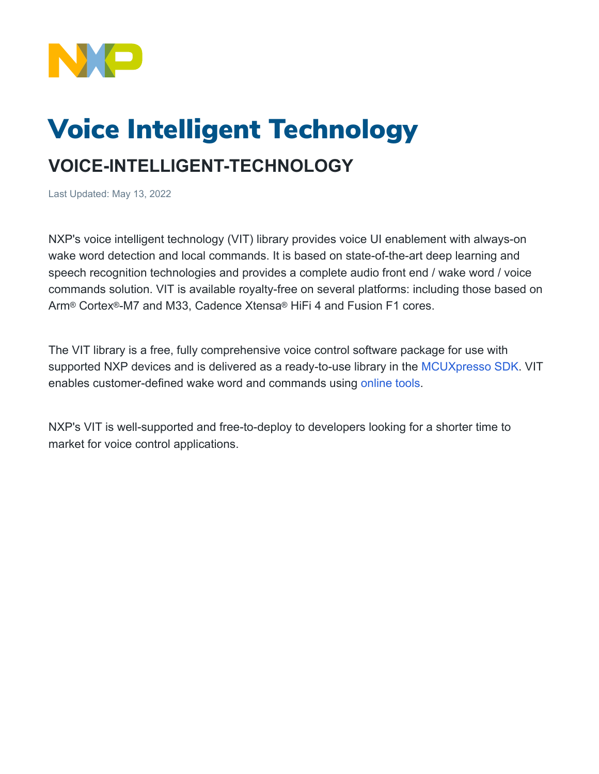

## Voice Intelligent Technology

## **VOICE-INTELLIGENT-TECHNOLOGY**

Last Updated: May 13, 2022

NXP's voice intelligent technology (VIT) library provides voice UI enablement with always-on wake word detection and local commands. It is based on state-of-the-art deep learning and speech recognition technologies and provides a complete audio front end / wake word / voice commands solution. VIT is available royalty-free on several platforms: including those based on Arm® Cortex®-M7 and M33, Cadence Xtensa® HiFi 4 and Fusion F1 cores.

The VIT library is a free, fully comprehensive voice control software package for use with supported NXP devices and is delivered as a ready-to-use library in the [MCUXpresso SDK](https://mcuxpresso.nxp.com/en/welcome). VIT enables customer-defined wake word and commands using [online tools.](https://vit.nxp.com/#/)

NXP's VIT is well-supported and free-to-deploy to developers looking for a shorter time to market for voice control applications.